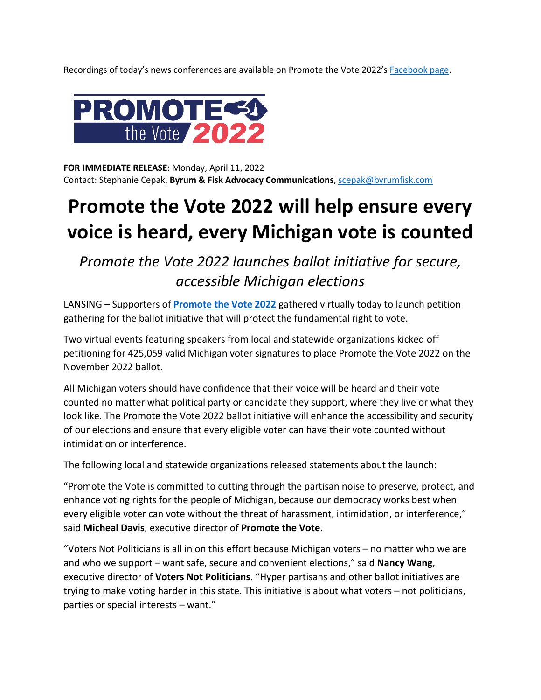Recordings of today's news conferences are available on Promote the Vote 2022's [Facebook page.](https://www.facebook.com/PromoteTheVote2022)



**FOR IMMEDIATE RELEASE**: Monday, April 11, 2022 Contact: Stephanie Cepak, **Byrum & Fisk Advocacy Communications**, [scepak@byrumfisk.com](mailto:scepak@byrumfisk.com) 

## **Promote the Vote 2022 will help ensure every voice is heard, every Michigan vote is counted**

*Promote the Vote 2022 launches ballot initiative for secure, accessible Michigan elections*

LANSING – Supporters of **[Promote the Vote 2022](https://promotethevote2022.com/)** gathered virtually today to launch petition gathering for the ballot initiative that will protect the fundamental right to vote.

Two virtual events featuring speakers from local and statewide organizations kicked off petitioning for 425,059 valid Michigan voter signatures to place Promote the Vote 2022 on the November 2022 ballot.

All Michigan voters should have confidence that their voice will be heard and their vote counted no matter what political party or candidate they support, where they live or what they look like. The Promote the Vote 2022 ballot initiative will enhance the accessibility and security of our elections and ensure that every eligible voter can have their vote counted without intimidation or interference.

The following local and statewide organizations released statements about the launch:

"Promote the Vote is committed to cutting through the partisan noise to preserve, protect, and enhance voting rights for the people of Michigan, because our democracy works best when every eligible voter can vote without the threat of harassment, intimidation, or interference," said **Micheal Davis**, executive director of **Promote the Vote**.

"Voters Not Politicians is all in on this effort because Michigan voters – no matter who we are and who we support – want safe, secure and convenient elections," said **Nancy Wang**, executive director of **Voters Not Politicians**. "Hyper partisans and other ballot initiatives are trying to make voting harder in this state. This initiative is about what voters – not politicians, parties or special interests – want."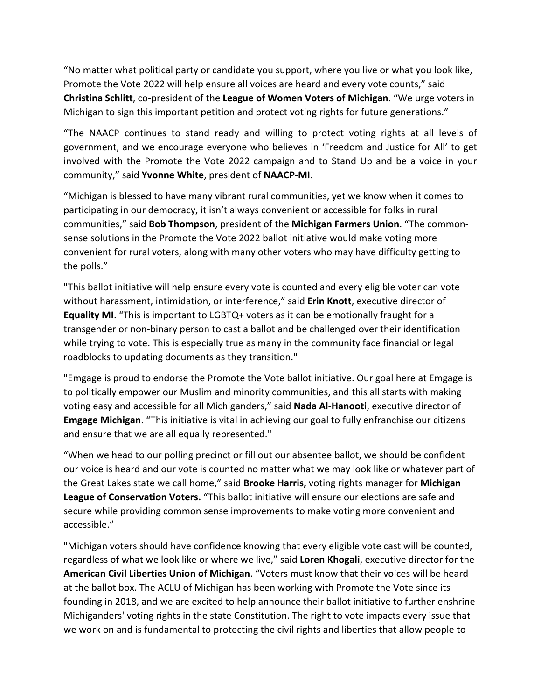"No matter what political party or candidate you support, where you live or what you look like, Promote the Vote 2022 will help ensure all voices are heard and every vote counts," said **Christina Schlitt**, co-president of the **League of Women Voters of Michigan**. "We urge voters in Michigan to sign this important petition and protect voting rights for future generations."

"The NAACP continues to stand ready and willing to protect voting rights at all levels of government, and we encourage everyone who believes in 'Freedom and Justice for All' to get involved with the Promote the Vote 2022 campaign and to Stand Up and be a voice in your community," said **Yvonne White**, president of **NAACP-MI**.

"Michigan is blessed to have many vibrant rural communities, yet we know when it comes to participating in our democracy, it isn't always convenient or accessible for folks in rural communities," said **Bob Thompson**, president of the **Michigan Farmers Union**. "The commonsense solutions in the Promote the Vote 2022 ballot initiative would make voting more convenient for rural voters, along with many other voters who may have difficulty getting to the polls."

"This ballot initiative will help ensure every vote is counted and every eligible voter can vote without harassment, intimidation, or interference," said **Erin Knott**, executive director of **Equality MI**. "This is important to LGBTQ+ voters as it can be emotionally fraught for a transgender or non-binary person to cast a ballot and be challenged over their identification while trying to vote. This is especially true as many in the community face financial or legal roadblocks to updating documents as they transition."

"Emgage is proud to endorse the Promote the Vote ballot initiative. Our goal here at Emgage is to politically empower our Muslim and minority communities, and this all starts with making voting easy and accessible for all Michiganders," said **Nada Al-Hanooti**, executive director of **Emgage Michigan**. "This initiative is vital in achieving our goal to fully enfranchise our citizens and ensure that we are all equally represented."

"When we head to our polling precinct or fill out our absentee ballot, we should be confident our voice is heard and our vote is counted no matter what we may look like or whatever part of the Great Lakes state we call home," said **Brooke Harris,** voting rights manager for **Michigan League of Conservation Voters.** "This ballot initiative will ensure our elections are safe and secure while providing common sense improvements to make voting more convenient and accessible."

"Michigan voters should have confidence knowing that every eligible vote cast will be counted, regardless of what we look like or where we live," said **Loren Khogali**, executive director for the **American Civil Liberties Union of Michigan**. "Voters must know that their voices will be heard at the ballot box. The ACLU of Michigan has been working with Promote the Vote since its founding in 2018, and we are excited to help announce their ballot initiative to further enshrine Michiganders' voting rights in the state Constitution. The right to vote impacts every issue that we work on and is fundamental to protecting the civil rights and liberties that allow people to